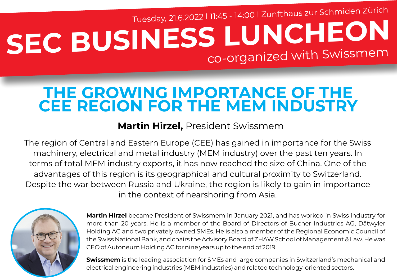# **SEC BUSINESS LUNCHEON** co-organized with Swissmem Tuesday, 21.6.2022 l 11:45 - 14:00 l Zunfthaus zur Schmiden Zürich

## **THE GROWING IMPORTANCE OF THE CEE REGION FOR THE MEM INDUSTRY**

### **Martin Hirzel,** President Swissmem

The region of Central and Eastern Europe (CEE) has gained in importance for the Swiss machinery, electrical and metal industry (MEM industry) over the past ten years. In terms of total MEM industry exports, it has now reached the size of China. One of the advantages of this region is its geographical and cultural proximity to Switzerland. Despite the war between Russia and Ukraine, the region is likely to gain in importance in the context of nearshoring from Asia.



**Martin Hirzel** became President of Swissmem in January 2021, and has worked in Swiss industry for more than 20 years. He is a member of the Board of Directors of Bucher Industries AG, Dätwyler Holding AG and two privately owned SMEs. He is also a member of the Regional Economic Council of the Swiss National Bank, and chairs the Advisory Board of ZHAW School of Management & Law. He was CEO of Autoneum Holding AG for nine years up to the end of 2019.

**Swissmem** is the leading association for SMEs and large companies in Switzerland's mechanical and electrical engineering industries (MEM industries) and related technology-oriented sectors.